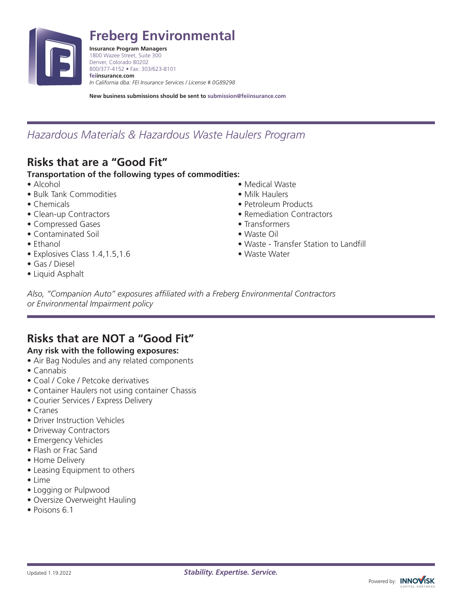

**Freberg Environmental**

**Insurance Program Managers** 1800 Wazee Street, Suite 300 Denver, Colorado 80202 800/377-4152 • Fax: 303/623-8101 **feiinsurance.com** *In California dba: FEI Insurance Services / License # 0G89298*

**New business submissions should be sent to submission@feiinsurance.com**

## *Hazardous Materials & Hazardous Waste Haulers Program*

# **Risks that are a "Good Fit"**

### **Transportation of the following types of commodities:**

- Alcohol
- Bulk Tank Commodities
- Chemicals
- Clean-up Contractors
- Compressed Gases
- Contaminated Soil
- Ethanol
- Explosives Class 1.4,1.5,1.6
- Gas / Diesel
- Liquid Asphalt
- Medical Waste
- Milk Haulers
- Petroleum Products
- Remediation Contractors
- Transformers
- Waste Oil
- Waste Transfer Station to Landfill
- Waste Water

*Also, "Companion Auto" exposures affiliated with a Freberg Environmental Contractors or Environmental Impairment policy*

## **Risks that are NOT a "Good Fit"**

### **Any risk with the following exposures:**

- Air Bag Nodules and any related components
- Cannabis
- Coal / Coke / Petcoke derivatives
- Container Haulers not using container Chassis
- Courier Services / Express Delivery
- Cranes
- Driver Instruction Vehicles
- Driveway Contractors
- Emergency Vehicles
- Flash or Frac Sand
- Home Delivery
- Leasing Equipment to others
- Lime
- Logging or Pulpwood
- Oversize Overweight Hauling
- Poisons 6.1